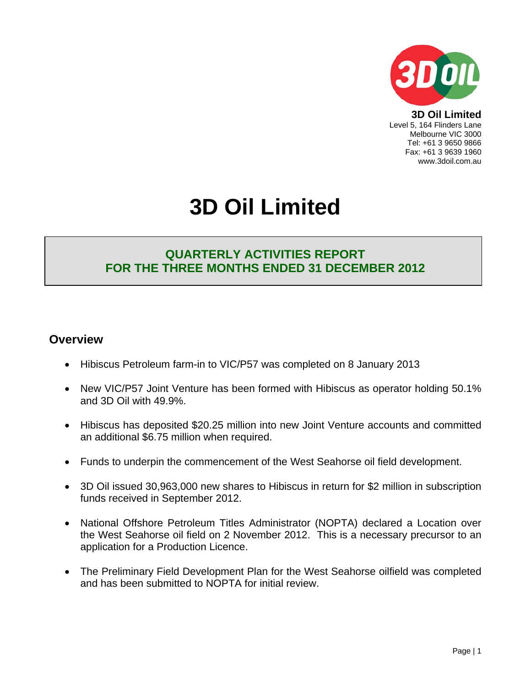

**3D Oil Limited**  Level 5, 164 Flinders Lane Melbourne VIC 3000 Tel: +61 3 9650 9866 Fax: +61 3 9639 1960 www.3doil.com.au

# **3D Oil Limited**

## **QUARTERLY ACTIVITIES REPORT FOR THE THREE MONTHS ENDED 31 DECEMBER 2012**

### **Overview**

- Hibiscus Petroleum farm-in to VIC/P57 was completed on 8 January 2013
- New VIC/P57 Joint Venture has been formed with Hibiscus as operator holding 50.1% and 3D Oil with 49.9%.
- Hibiscus has deposited \$20.25 million into new Joint Venture accounts and committed an additional \$6.75 million when required.
- Funds to underpin the commencement of the West Seahorse oil field development.
- 3D Oil issued 30,963,000 new shares to Hibiscus in return for \$2 million in subscription funds received in September 2012.
- National Offshore Petroleum Titles Administrator (NOPTA) declared a Location over the West Seahorse oil field on 2 November 2012. This is a necessary precursor to an application for a Production Licence.
- The Preliminary Field Development Plan for the West Seahorse oilfield was completed and has been submitted to NOPTA for initial review.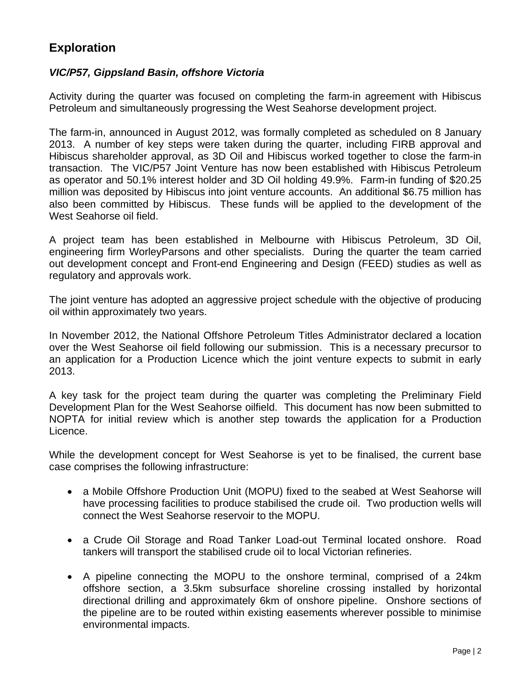## **Exploration**

#### *VIC/P57, Gippsland Basin, offshore Victoria*

Activity during the quarter was focused on completing the farm-in agreement with Hibiscus Petroleum and simultaneously progressing the West Seahorse development project.

The farm-in, announced in August 2012, was formally completed as scheduled on 8 January 2013. A number of key steps were taken during the quarter, including FIRB approval and Hibiscus shareholder approval, as 3D Oil and Hibiscus worked together to close the farm-in transaction. The VIC/P57 Joint Venture has now been established with Hibiscus Petroleum as operator and 50.1% interest holder and 3D Oil holding 49.9%. Farm-in funding of \$20.25 million was deposited by Hibiscus into joint venture accounts. An additional \$6.75 million has also been committed by Hibiscus. These funds will be applied to the development of the West Seahorse oil field.

A project team has been established in Melbourne with Hibiscus Petroleum, 3D Oil, engineering firm WorleyParsons and other specialists. During the quarter the team carried out development concept and Front-end Engineering and Design (FEED) studies as well as regulatory and approvals work.

The joint venture has adopted an aggressive project schedule with the objective of producing oil within approximately two years.

In November 2012, the National Offshore Petroleum Titles Administrator declared a location over the West Seahorse oil field following our submission. This is a necessary precursor to an application for a Production Licence which the joint venture expects to submit in early 2013.

A key task for the project team during the quarter was completing the Preliminary Field Development Plan for the West Seahorse oilfield. This document has now been submitted to NOPTA for initial review which is another step towards the application for a Production Licence.

While the development concept for West Seahorse is yet to be finalised, the current base case comprises the following infrastructure:

- a Mobile Offshore Production Unit (MOPU) fixed to the seabed at West Seahorse will have processing facilities to produce stabilised the crude oil. Two production wells will connect the West Seahorse reservoir to the MOPU.
- a Crude Oil Storage and Road Tanker Load-out Terminal located onshore. Road tankers will transport the stabilised crude oil to local Victorian refineries.
- A pipeline connecting the MOPU to the onshore terminal, comprised of a 24km offshore section, a 3.5km subsurface shoreline crossing installed by horizontal directional drilling and approximately 6km of onshore pipeline. Onshore sections of the pipeline are to be routed within existing easements wherever possible to minimise environmental impacts.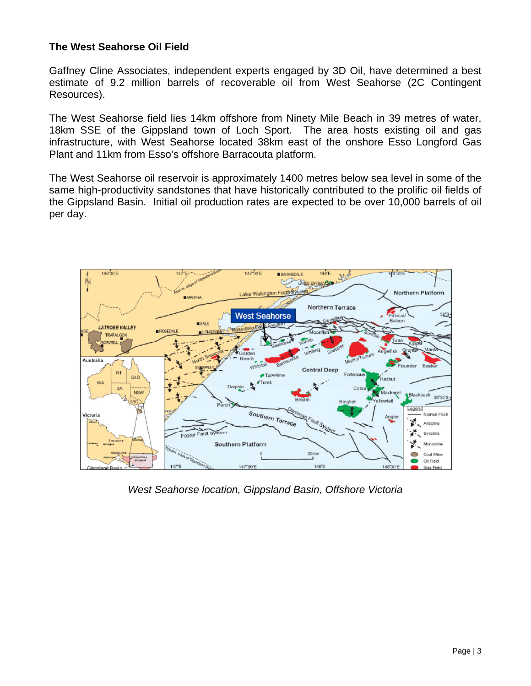#### **The West Seahorse Oil Field**

Gaffney Cline Associates, independent experts engaged by 3D Oil, have determined a best estimate of 9.2 million barrels of recoverable oil from West Seahorse (2C Contingent Resources).

The West Seahorse field lies 14km offshore from Ninety Mile Beach in 39 metres of water, 18km SSE of the Gippsland town of Loch Sport. The area hosts existing oil and gas infrastructure, with West Seahorse located 38km east of the onshore Esso Longford Gas Plant and 11km from Esso's offshore Barracouta platform.

The West Seahorse oil reservoir is approximately 1400 metres below sea level in some of the same high-productivity sandstones that have historically contributed to the prolific oil fields of the Gippsland Basin. Initial oil production rates are expected to be over 10,000 barrels of oil per day.



*West Seahorse location, Gippsland Basin, Offshore Victoria*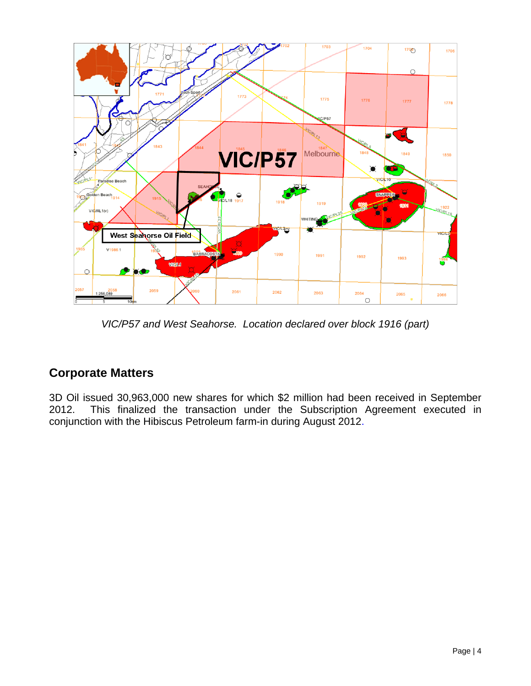

*VIC/P57 and West Seahorse. Location declared over block 1916 (part)* 

## **Corporate Matters**

3D Oil issued 30,963,000 new shares for which \$2 million had been received in September 2012. This finalized the transaction under the Subscription Agreement executed in conjunction with the Hibiscus Petroleum farm-in during August 2012.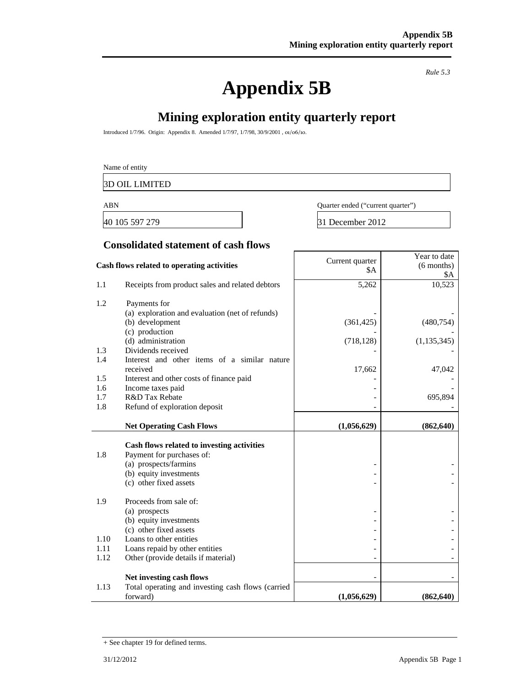## **Appendix 5B**

*Rule 5.3* 

Year to date

## **Mining exploration entity quarterly report**

Introduced 1/7/96. Origin: Appendix 8. Amended 1/7/97, 1/7/98, 30/9/2001 , 01/06/10.

3D OIL LIMITED

40 105 597 279 31 December 2012

ABN Quarter ended ("current quarter")

#### **Consolidated statement of cash flows**

| Cash flows related to operating activities |                                                                         | Current quarter<br><b>\$A</b> | I cal to uate<br>$(6$ months) |
|--------------------------------------------|-------------------------------------------------------------------------|-------------------------------|-------------------------------|
| 1.1                                        | Receipts from product sales and related debtors                         | 5,262                         | \$A<br>10,523                 |
|                                            |                                                                         |                               |                               |
| 1.2                                        | Payments for                                                            |                               |                               |
|                                            | (a) exploration and evaluation (net of refunds)                         |                               |                               |
|                                            | (b) development<br>(c) production                                       | (361, 425)                    | (480, 754)                    |
|                                            | (d) administration                                                      | (718, 128)                    | (1, 135, 345)                 |
| 1.3                                        | Dividends received                                                      |                               |                               |
| 1.4                                        | Interest and other items of a similar nature                            |                               |                               |
|                                            | received                                                                | 17,662                        | 47,042                        |
| 1.5                                        | Interest and other costs of finance paid                                |                               |                               |
| 1.6                                        | Income taxes paid<br>R&D Tax Rebate                                     |                               |                               |
| 1.7<br>1.8                                 | Refund of exploration deposit                                           |                               | 695,894                       |
|                                            |                                                                         |                               |                               |
|                                            | <b>Net Operating Cash Flows</b>                                         | (1,056,629)                   | (862, 640)                    |
|                                            |                                                                         |                               |                               |
| 1.8                                        | Cash flows related to investing activities<br>Payment for purchases of: |                               |                               |
|                                            | (a) prospects/farmins                                                   |                               |                               |
|                                            | (b) equity investments                                                  |                               |                               |
|                                            | (c) other fixed assets                                                  |                               |                               |
| 1.9                                        | Proceeds from sale of:                                                  |                               |                               |
|                                            | (a) prospects                                                           |                               |                               |
|                                            | (b) equity investments                                                  |                               |                               |
|                                            |                                                                         |                               |                               |
|                                            | (c) other fixed assets                                                  |                               |                               |
| 1.10                                       | Loans to other entities                                                 |                               |                               |
| 1.11                                       | Loans repaid by other entities                                          |                               |                               |
| 1.12                                       | Other (provide details if material)                                     |                               |                               |
|                                            | Net investing cash flows                                                |                               |                               |
| 1.13                                       | Total operating and investing cash flows (carried<br>forward)           | (1,056,629)                   | (862, 640)                    |

<sup>+</sup> See chapter 19 for defined terms.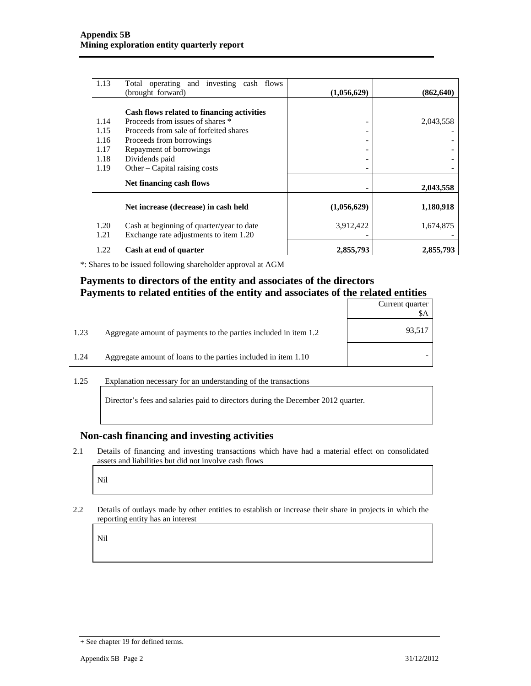| 1.13         | Total operating and investing cash flows<br>(brought forward)                       | (1,056,629)                  | (862, 640) |
|--------------|-------------------------------------------------------------------------------------|------------------------------|------------|
|              |                                                                                     |                              |            |
|              | Cash flows related to financing activities                                          |                              |            |
| 1.14         | Proceeds from issues of shares *                                                    | -                            | 2,043,558  |
| 1.15         | Proceeds from sale of forfeited shares                                              |                              |            |
| 1.16         | Proceeds from borrowings                                                            |                              |            |
| 1.17         | Repayment of borrowings                                                             |                              |            |
| 1.18         | Dividends paid                                                                      | $\qquad \qquad \blacksquare$ |            |
| 1.19         | Other – Capital raising costs                                                       |                              |            |
|              | Net financing cash flows                                                            |                              | 2,043,558  |
|              | Net increase (decrease) in cash held                                                | (1,056,629)                  | 1,180,918  |
| 1.20<br>1.21 | Cash at beginning of quarter/year to date<br>Exchange rate adjustments to item 1.20 | 3,912,422                    | 1,674,875  |
| 1.22         | Cash at end of quarter                                                              | 2,855,793                    | 2,855,793  |

\*: Shares to be issued following shareholder approval at AGM

#### **Payments to directors of the entity and associates of the directors Payments to related entities of the entity and associates of the related entities**

|                                                                          | Current quarter<br>SΑ |
|--------------------------------------------------------------------------|-----------------------|
| 1.23<br>Aggregate amount of payments to the parties included in item 1.2 | 93,517                |
| 1.24<br>Aggregate amount of loans to the parties included in item 1.10   |                       |

1.25 Explanation necessary for an understanding of the transactions

Director's fees and salaries paid to directors during the December 2012 quarter.

#### **Non-cash financing and investing activities**

2.1 Details of financing and investing transactions which have had a material effect on consolidated assets and liabilities but did not involve cash flows

Nil

2.2 Details of outlays made by other entities to establish or increase their share in projects in which the reporting entity has an interest

Nil

<sup>+</sup> See chapter 19 for defined terms.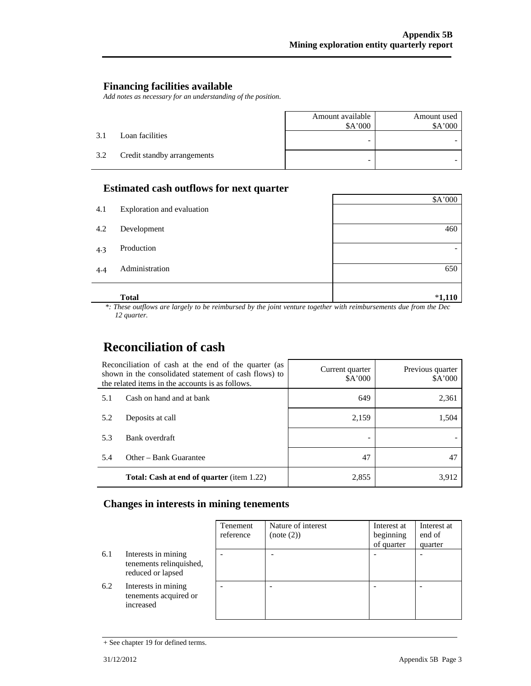#### **Financing facilities available**

*Add notes as necessary for an understanding of the position.* 

|     |                             | Amount available<br>\$A'000 | Amount used<br>\$A'000 |
|-----|-----------------------------|-----------------------------|------------------------|
| 3.1 | Loan facilities             |                             |                        |
| 3.2 | Credit standby arrangements | -                           |                        |

#### **Estimated cash outflows for next quarter**

|     | <b>Total</b>               | $*1,110$ |
|-----|----------------------------|----------|
| 4.4 | Administration             | 650      |
| 4.3 | Production                 |          |
| 4.2 | Development                | 460      |
| 4.1 | Exploration and evaluation |          |
|     |                            | \$A'000  |

 *\*: These outflows are largely to be reimbursed by the joint venture together with reimbursements due from the Dec 12 quarter.* 

## **Reconciliation of cash**

| Reconciliation of cash at the end of the quarter (as<br>shown in the consolidated statement of cash flows) to<br>the related items in the accounts is as follows. |                                                  | Current quarter<br>\$A'000 | Previous quarter<br>\$A'000 |
|-------------------------------------------------------------------------------------------------------------------------------------------------------------------|--------------------------------------------------|----------------------------|-----------------------------|
| 5.1                                                                                                                                                               | Cash on hand and at bank                         | 649                        | 2,361                       |
| 5.2                                                                                                                                                               | Deposits at call                                 | 2,159                      | 1,504                       |
| 5.3                                                                                                                                                               | Bank overdraft                                   |                            |                             |
| 5.4                                                                                                                                                               | Other – Bank Guarantee                           | 47                         | 47                          |
|                                                                                                                                                                   | <b>Total: Cash at end of quarter</b> (item 1.22) | 2,855                      | 3.912                       |

#### **Changes in interests in mining tenements**

|     |                                                                     | Tenement<br>reference | Nature of interest<br>(note (2)) | Interest at<br>beginning<br>of quarter | Interest at<br>end of<br>quarter |
|-----|---------------------------------------------------------------------|-----------------------|----------------------------------|----------------------------------------|----------------------------------|
| 6.1 | Interests in mining<br>tenements relinquished,<br>reduced or lapsed |                       |                                  |                                        |                                  |
| 6.2 | Interests in mining<br>tenements acquired or<br>increased           |                       |                                  |                                        |                                  |

<sup>+</sup> See chapter 19 for defined terms.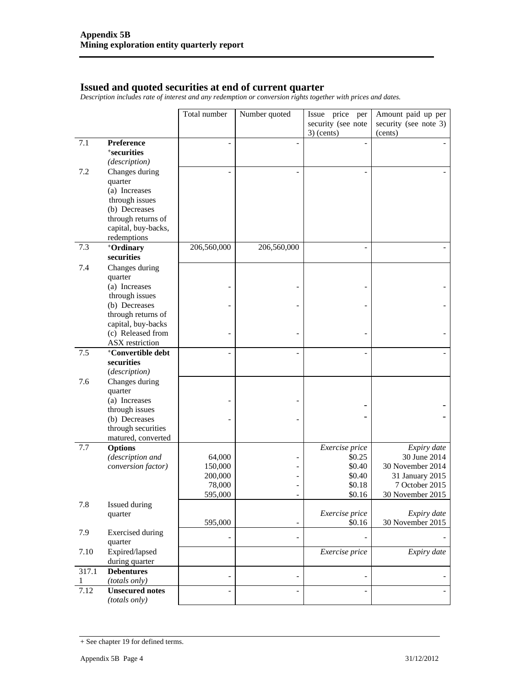#### **Issued and quoted securities at end of current quarter**

*Description includes rate of interest and any redemption or conversion rights together with prices and dates.* 

|       |                                 | Total number       | Number quoted            | Issue price<br>per | Amount paid up per               |
|-------|---------------------------------|--------------------|--------------------------|--------------------|----------------------------------|
|       |                                 |                    |                          | security (see note | security (see note 3)            |
|       |                                 |                    |                          | $3)$ (cents)       | (cents)                          |
| 7.1   | <b>Preference</b>               |                    | $\overline{\phantom{a}}$ | $\overline{a}$     |                                  |
|       | <i><b>*securities</b></i>       |                    |                          |                    |                                  |
|       | (description)                   |                    |                          |                    |                                  |
| 7.2   | Changes during                  |                    |                          |                    |                                  |
|       | quarter                         |                    |                          |                    |                                  |
|       | (a) Increases                   |                    |                          |                    |                                  |
|       | through issues                  |                    |                          |                    |                                  |
|       | (b) Decreases                   |                    |                          |                    |                                  |
|       | through returns of              |                    |                          |                    |                                  |
|       | capital, buy-backs,             |                    |                          |                    |                                  |
|       | redemptions                     |                    |                          |                    |                                  |
| 7.3   | +Ordinary                       | 206,560,000        | 206,560,000              |                    |                                  |
|       | securities                      |                    |                          |                    |                                  |
| 7.4   | Changes during                  |                    |                          |                    |                                  |
|       | quarter                         |                    |                          |                    |                                  |
|       | (a) Increases<br>through issues |                    |                          |                    |                                  |
|       | (b) Decreases                   |                    |                          |                    |                                  |
|       | through returns of              |                    |                          |                    |                                  |
|       | capital, buy-backs              |                    |                          |                    |                                  |
|       | (c) Released from               |                    |                          |                    |                                  |
|       | <b>ASX</b> restriction          |                    |                          |                    |                                  |
| 7.5   | <sup>+</sup> Convertible debt   |                    |                          |                    |                                  |
|       | securities                      |                    |                          |                    |                                  |
|       | (description)                   |                    |                          |                    |                                  |
| 7.6   | Changes during                  |                    |                          |                    |                                  |
|       | quarter                         |                    |                          |                    |                                  |
|       | (a) Increases                   |                    |                          |                    |                                  |
|       | through issues                  |                    |                          |                    |                                  |
|       | (b) Decreases                   |                    |                          |                    |                                  |
|       | through securities              |                    |                          |                    |                                  |
|       | matured, converted              |                    |                          |                    |                                  |
| 7.7   | <b>Options</b>                  |                    |                          | Exercise price     | Expiry date                      |
|       | (description and                | 64,000             |                          | \$0.25             | 30 June 2014<br>30 November 2014 |
|       | conversion factor)              | 150,000<br>200,000 |                          | \$0.40<br>\$0.40   | 31 January 2015                  |
|       |                                 | 78,000             |                          | \$0.18             | 7 October 2015                   |
|       |                                 | 595,000            |                          | \$0.16             | 30 November 2015                 |
| 7.8   | Issued during                   |                    |                          |                    |                                  |
|       | quarter                         |                    |                          | Exercise price     | Expiry date                      |
|       |                                 | 595,000            | $\overline{\phantom{0}}$ | \$0.16             | 30 November 2015                 |
| 7.9   | <b>Exercised</b> during         |                    |                          |                    |                                  |
|       | quarter                         |                    | $\overline{a}$           |                    |                                  |
| 7.10  | Expired/lapsed                  |                    |                          | Exercise price     | Expiry date                      |
|       | during quarter                  |                    |                          |                    |                                  |
| 317.1 | <b>Debentures</b>               |                    | $\overline{a}$           |                    |                                  |
| 1     | (totals only)                   |                    |                          |                    |                                  |
| 7.12  | <b>Unsecured notes</b>          |                    |                          |                    |                                  |
|       | (totals only)                   |                    |                          |                    |                                  |

<sup>+</sup> See chapter 19 for defined terms.